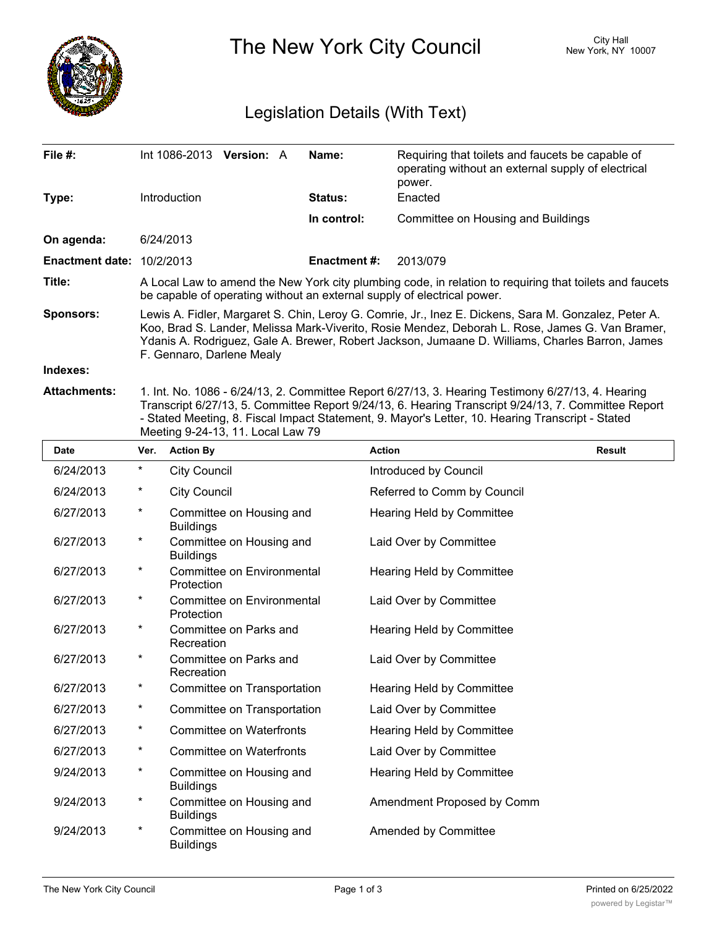

The New York City Council New York, NY 10007

### Legislation Details (With Text)

| File $#$ :                       | Int 1086-2013 <b>Version:</b> A                                                                                                                                                                                                                                                                                                         |  |  | Name:               | Requiring that toilets and faucets be capable of<br>operating without an external supply of electrical<br>power. |  |  |
|----------------------------------|-----------------------------------------------------------------------------------------------------------------------------------------------------------------------------------------------------------------------------------------------------------------------------------------------------------------------------------------|--|--|---------------------|------------------------------------------------------------------------------------------------------------------|--|--|
| Type:                            | Introduction                                                                                                                                                                                                                                                                                                                            |  |  | <b>Status:</b>      | Enacted                                                                                                          |  |  |
|                                  |                                                                                                                                                                                                                                                                                                                                         |  |  | In control:         | Committee on Housing and Buildings                                                                               |  |  |
| On agenda:                       | 6/24/2013                                                                                                                                                                                                                                                                                                                               |  |  |                     |                                                                                                                  |  |  |
| <b>Enactment date: 10/2/2013</b> |                                                                                                                                                                                                                                                                                                                                         |  |  | <b>Enactment #:</b> | 2013/079                                                                                                         |  |  |
| Title:                           | A Local Law to amend the New York city plumbing code, in relation to requiring that toilets and faucets<br>be capable of operating without an external supply of electrical power.                                                                                                                                                      |  |  |                     |                                                                                                                  |  |  |
| <b>Sponsors:</b>                 | Lewis A. Fidler, Margaret S. Chin, Leroy G. Comrie, Jr., Inez E. Dickens, Sara M. Gonzalez, Peter A.<br>Koo, Brad S. Lander, Melissa Mark-Viverito, Rosie Mendez, Deborah L. Rose, James G. Van Bramer,<br>Ydanis A. Rodriguez, Gale A. Brewer, Robert Jackson, Jumaane D. Williams, Charles Barron, James<br>F. Gennaro, Darlene Mealy |  |  |                     |                                                                                                                  |  |  |
| Indexes:                         |                                                                                                                                                                                                                                                                                                                                         |  |  |                     |                                                                                                                  |  |  |
| <b>Attachments:</b>              | 1. Int. No. 1086 - 6/24/13, 2. Committee Report 6/27/13, 3. Hearing Testimony 6/27/13, 4. Hearing<br>Transcript 6/27/13, 5. Committee Report 9/24/13, 6. Hearing Transcript 9/24/13, 7. Committee Report<br>- Stated Meeting, 8. Fiscal Impact Statement, 9. Mayor's Letter, 10. Hearing Transcript - Stated                            |  |  |                     |                                                                                                                  |  |  |

Meeting 9-24-13, 11. Local Law 79

**Date Ver. Action By Action Result** 6/24/2013 \* City Council Council controduced by Council 6/24/2013 \* City Council Referred to Comm by Council Committee on Housing and Hearing Held by Committee Buildings 6/27/2013 \* Committee on Housing and Laid Over by Committee **Buildings** 6/27/2013 \* Committee on Environmental Hearing Held by Committee Protection 6/27/2013 \* Committee on Environmental Laid Over by Committee Protection 6/27/2013 \* Committee on Parks and Hearing Held by Committee **Recreation** 6/27/2013 \* Committee on Parks and Laid Over by Committee **Recreation** 6/27/2013 \* 6/27/2013 \* Committee on Transportation Hearing Held by Committee 6/27/2013 \* Committee on Transportation Laid Over by Committee 6/27/2013 \* Committee on Waterfronts Hearing Held by Committee 6/27/2013 \* Committee on Waterfronts Laid Over by Committee Committee on Housing and Hearing Held by Committee Buildings 9/24/2013 \* Committee on Housing and Amendment Proposed by Comm **Buildings** 9/24/2013 \* Committee on Housing and **Amended by Committee** Buildings 9/24/2013 \*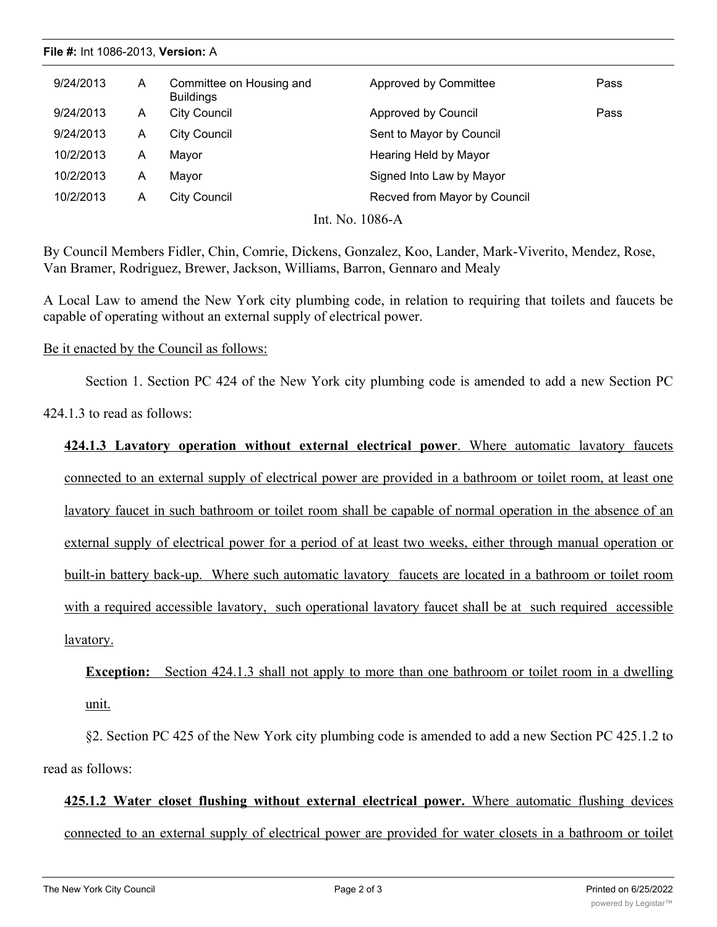#### **File #:** Int 1086-2013, **Version:** A

| 9/24/2013       |  | A | Committee on Housing and<br><b>Buildings</b> | Approved by Committee        | Pass |  |  |  |
|-----------------|--|---|----------------------------------------------|------------------------------|------|--|--|--|
| 9/24/2013       |  | A | <b>City Council</b>                          | Approved by Council          | Pass |  |  |  |
| 9/24/2013       |  | A | <b>City Council</b>                          | Sent to Mayor by Council     |      |  |  |  |
| 10/2/2013       |  | A | Mayor                                        | Hearing Held by Mayor        |      |  |  |  |
| 10/2/2013       |  | A | Mayor                                        | Signed Into Law by Mayor     |      |  |  |  |
| 10/2/2013       |  | A | City Council                                 | Recved from Mayor by Council |      |  |  |  |
| Int. No. 1086-A |  |   |                                              |                              |      |  |  |  |

By Council Members Fidler, Chin, Comrie, Dickens, Gonzalez, Koo, Lander, Mark-Viverito, Mendez, Rose, Van Bramer, Rodriguez, Brewer, Jackson, Williams, Barron, Gennaro and Mealy

A Local Law to amend the New York city plumbing code, in relation to requiring that toilets and faucets be capable of operating without an external supply of electrical power.

#### Be it enacted by the Council as follows:

Section 1. Section PC 424 of the New York city plumbing code is amended to add a new Section PC

424.1.3 to read as follows:

**424.1.3 Lavatory operation without external electrical power**. Where automatic lavatory faucets connected to an external supply of electrical power are provided in a bathroom or toilet room, at least one lavatory faucet in such bathroom or toilet room shall be capable of normal operation in the absence of an external supply of electrical power for a period of at least two weeks, either through manual operation or built-in battery back-up. Where such automatic lavatory faucets are located in a bathroom or toilet room with a required accessible lavatory, such operational lavatory faucet shall be at such required accessible lavatory.

## **Exception:** Section 424.1.3 shall not apply to more than one bathroom or toilet room in a dwelling unit.

§2. Section PC 425 of the New York city plumbing code is amended to add a new Section PC 425.1.2 to read as follows:

# **425.1.2 Water closet flushing without external electrical power.** Where automatic flushing devices connected to an external supply of electrical power are provided for water closets in a bathroom or toilet